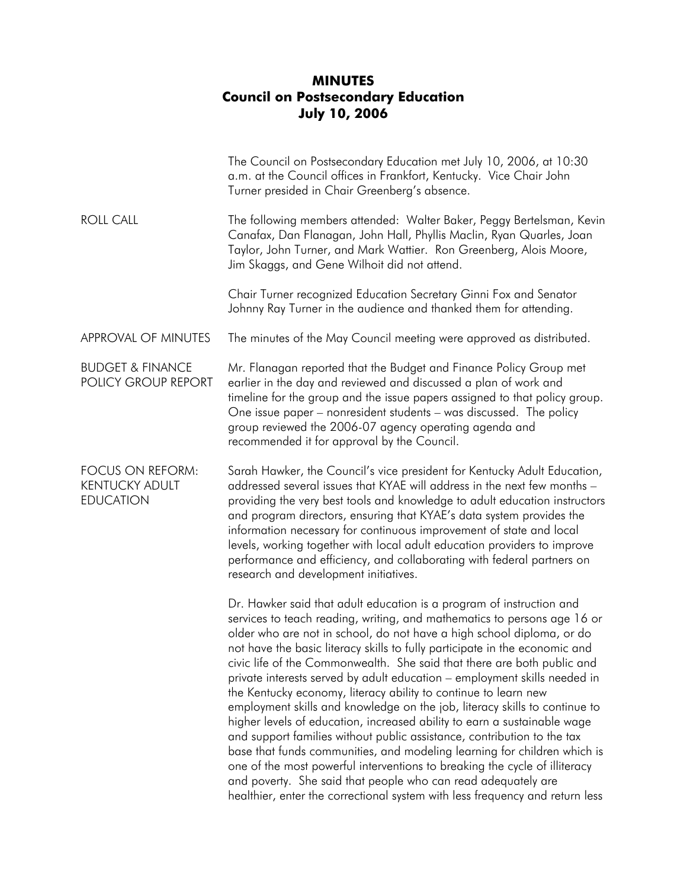## **MINUTES Council on Postsecondary Education July 10, 2006**

|                                                               | The Council on Postsecondary Education met July 10, 2006, at 10:30<br>a.m. at the Council offices in Frankfort, Kentucky. Vice Chair John<br>Turner presided in Chair Greenberg's absence.                                                                                                                                                                                                                                                                                                                                                                                                                                                                                                                                                                                                                                                                                                                                                                                                                                                                                          |
|---------------------------------------------------------------|-------------------------------------------------------------------------------------------------------------------------------------------------------------------------------------------------------------------------------------------------------------------------------------------------------------------------------------------------------------------------------------------------------------------------------------------------------------------------------------------------------------------------------------------------------------------------------------------------------------------------------------------------------------------------------------------------------------------------------------------------------------------------------------------------------------------------------------------------------------------------------------------------------------------------------------------------------------------------------------------------------------------------------------------------------------------------------------|
| <b>ROLL CALL</b>                                              | The following members attended: Walter Baker, Peggy Bertelsman, Kevin<br>Canafax, Dan Flanagan, John Hall, Phyllis Maclin, Ryan Quarles, Joan<br>Taylor, John Turner, and Mark Wattier. Ron Greenberg, Alois Moore,<br>Jim Skaggs, and Gene Wilhoit did not attend.                                                                                                                                                                                                                                                                                                                                                                                                                                                                                                                                                                                                                                                                                                                                                                                                                 |
|                                                               | Chair Turner recognized Education Secretary Ginni Fox and Senator<br>Johnny Ray Turner in the audience and thanked them for attending.                                                                                                                                                                                                                                                                                                                                                                                                                                                                                                                                                                                                                                                                                                                                                                                                                                                                                                                                              |
| APPROVAL OF MINUTES                                           | The minutes of the May Council meeting were approved as distributed.                                                                                                                                                                                                                                                                                                                                                                                                                                                                                                                                                                                                                                                                                                                                                                                                                                                                                                                                                                                                                |
| <b>BUDGET &amp; FINANCE</b><br>POLICY GROUP REPORT            | Mr. Flanagan reported that the Budget and Finance Policy Group met<br>earlier in the day and reviewed and discussed a plan of work and<br>timeline for the group and the issue papers assigned to that policy group.<br>One issue paper – nonresident students – was discussed. The policy<br>group reviewed the 2006-07 agency operating agenda and<br>recommended it for approval by the Council.                                                                                                                                                                                                                                                                                                                                                                                                                                                                                                                                                                                                                                                                                 |
| FOCUS ON REFORM:<br><b>KENTUCKY ADULT</b><br><b>EDUCATION</b> | Sarah Hawker, the Council's vice president for Kentucky Adult Education,<br>addressed several issues that KYAE will address in the next few months -<br>providing the very best tools and knowledge to adult education instructors<br>and program directors, ensuring that KYAE's data system provides the<br>information necessary for continuous improvement of state and local<br>levels, working together with local adult education providers to improve<br>performance and efficiency, and collaborating with federal partners on<br>research and development initiatives.                                                                                                                                                                                                                                                                                                                                                                                                                                                                                                    |
|                                                               | Dr. Hawker said that adult education is a program of instruction and<br>services to teach reading, writing, and mathematics to persons age 16 or<br>older who are not in school, do not have a high school diploma, or do<br>not have the basic literacy skills to fully participate in the economic and<br>civic life of the Commonwealth. She said that there are both public and<br>private interests served by adult education – employment skills needed in<br>the Kentucky economy, literacy ability to continue to learn new<br>employment skills and knowledge on the job, literacy skills to continue to<br>higher levels of education, increased ability to earn a sustainable wage<br>and support families without public assistance, contribution to the tax<br>base that funds communities, and modeling learning for children which is<br>one of the most powerful interventions to breaking the cycle of illiteracy<br>and poverty. She said that people who can read adequately are<br>healthier, enter the correctional system with less frequency and return less |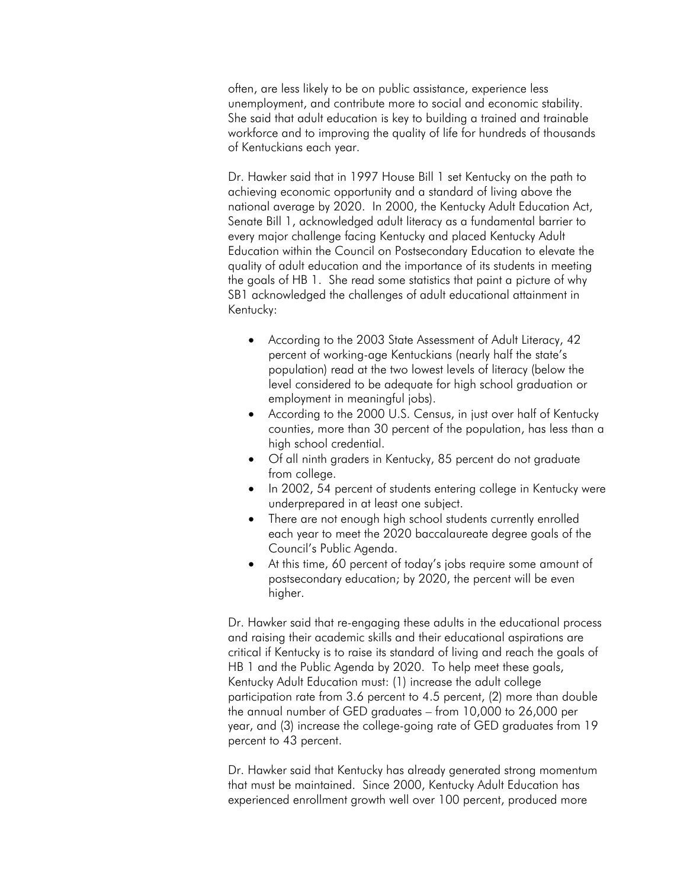often, are less likely to be on public assistance, experience less unemployment, and contribute more to social and economic stability. She said that adult education is key to building a trained and trainable workforce and to improving the quality of life for hundreds of thousands of Kentuckians each year.

Dr. Hawker said that in 1997 House Bill 1 set Kentucky on the path to achieving economic opportunity and a standard of living above the national average by 2020. In 2000, the Kentucky Adult Education Act, Senate Bill 1, acknowledged adult literacy as a fundamental barrier to every major challenge facing Kentucky and placed Kentucky Adult Education within the Council on Postsecondary Education to elevate the quality of adult education and the importance of its students in meeting the goals of HB 1. She read some statistics that paint a picture of why SB1 acknowledged the challenges of adult educational attainment in Kentucky:

- According to the 2003 State Assessment of Adult Literacy, 42 percent of working-age Kentuckians (nearly half the state's population) read at the two lowest levels of literacy (below the level considered to be adequate for high school graduation or employment in meaningful jobs).
- According to the 2000 U.S. Census, in just over half of Kentucky counties, more than 30 percent of the population, has less than a high school credential.
- Of all ninth graders in Kentucky, 85 percent do not graduate from college.
- In 2002, 54 percent of students entering college in Kentucky were underprepared in at least one subject.
- There are not enough high school students currently enrolled each year to meet the 2020 baccalaureate degree goals of the Council's Public Agenda.
- At this time, 60 percent of today's jobs require some amount of postsecondary education; by 2020, the percent will be even higher.

Dr. Hawker said that re-engaging these adults in the educational process and raising their academic skills and their educational aspirations are critical if Kentucky is to raise its standard of living and reach the goals of HB 1 and the Public Agenda by 2020. To help meet these goals, Kentucky Adult Education must: (1) increase the adult college participation rate from 3.6 percent to 4.5 percent, (2) more than double the annual number of GED graduates – from 10,000 to 26,000 per year, and (3) increase the college-going rate of GED graduates from 19 percent to 43 percent.

Dr. Hawker said that Kentucky has already generated strong momentum that must be maintained. Since 2000, Kentucky Adult Education has experienced enrollment growth well over 100 percent, produced more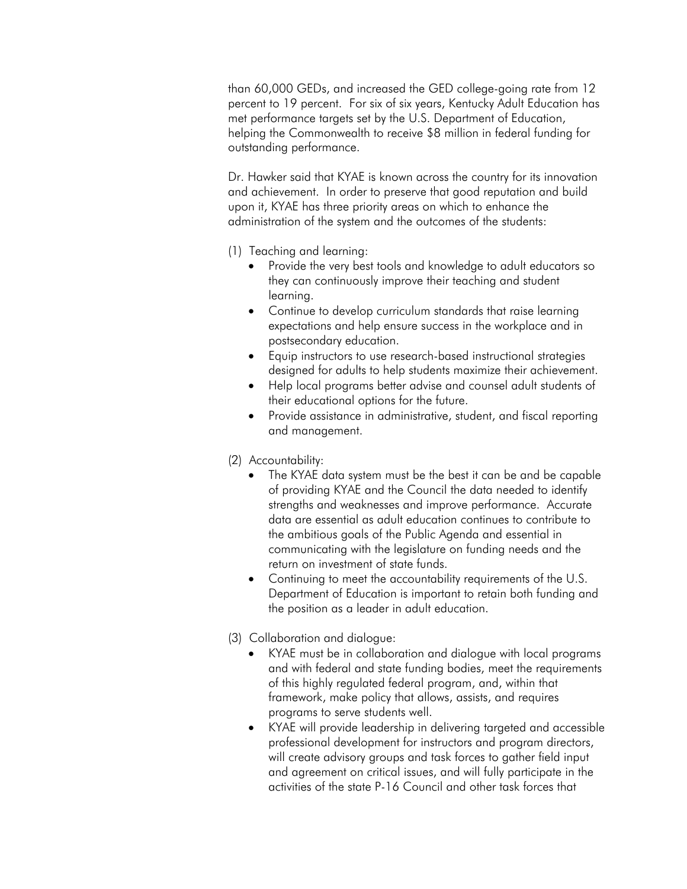than 60,000 GEDs, and increased the GED college-going rate from 12 percent to 19 percent. For six of six years, Kentucky Adult Education has met performance targets set by the U.S. Department of Education, helping the Commonwealth to receive \$8 million in federal funding for outstanding performance.

Dr. Hawker said that KYAE is known across the country for its innovation and achievement. In order to preserve that good reputation and build upon it, KYAE has three priority areas on which to enhance the administration of the system and the outcomes of the students:

- (1) Teaching and learning:
	- Provide the very best tools and knowledge to adult educators so they can continuously improve their teaching and student learning.
	- Continue to develop curriculum standards that raise learning expectations and help ensure success in the workplace and in postsecondary education.
	- Equip instructors to use research-based instructional strategies designed for adults to help students maximize their achievement.
	- Help local programs better advise and counsel adult students of their educational options for the future.
	- Provide assistance in administrative, student, and fiscal reporting and management.
- (2) Accountability:
	- The KYAE data system must be the best it can be and be capable of providing KYAE and the Council the data needed to identify strengths and weaknesses and improve performance. Accurate data are essential as adult education continues to contribute to the ambitious goals of the Public Agenda and essential in communicating with the legislature on funding needs and the return on investment of state funds.
	- Continuing to meet the accountability requirements of the U.S. Department of Education is important to retain both funding and the position as a leader in adult education.
- (3) Collaboration and dialogue:
	- KYAE must be in collaboration and dialogue with local programs and with federal and state funding bodies, meet the requirements of this highly regulated federal program, and, within that framework, make policy that allows, assists, and requires programs to serve students well.
	- KYAE will provide leadership in delivering targeted and accessible professional development for instructors and program directors, will create advisory groups and task forces to gather field input and agreement on critical issues, and will fully participate in the activities of the state P-16 Council and other task forces that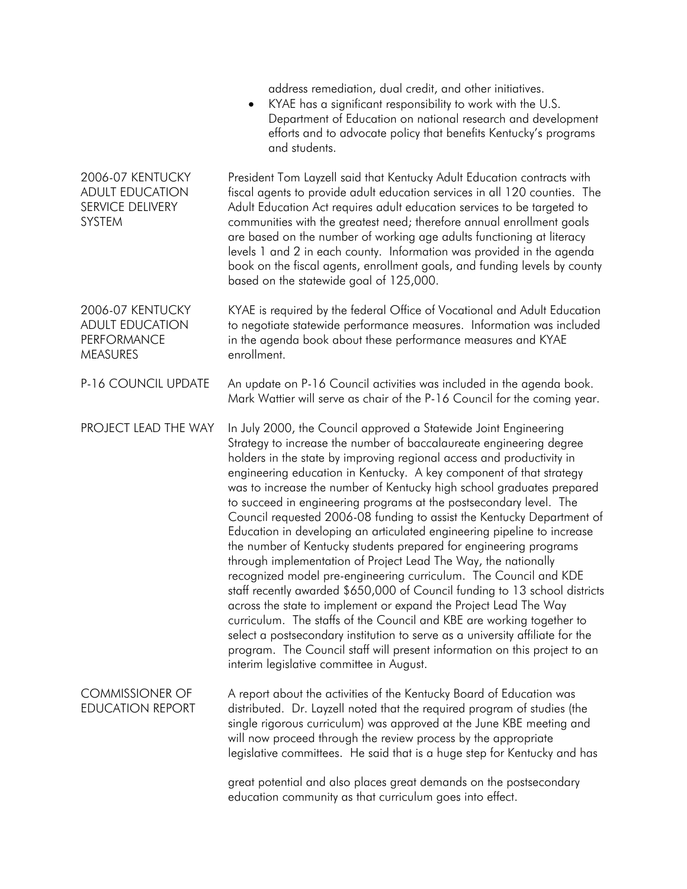|                                                                                     | address remediation, dual credit, and other initiatives.<br>KYAE has a significant responsibility to work with the U.S.<br>$\bullet$<br>Department of Education on national research and development<br>efforts and to advocate policy that benefits Kentucky's programs<br>and students.                                                                                                                                                                                                                                                                                                                                                                                                                                                                                                                                                                                                                                                                                                                                                                                                                                                                                                                                                   |
|-------------------------------------------------------------------------------------|---------------------------------------------------------------------------------------------------------------------------------------------------------------------------------------------------------------------------------------------------------------------------------------------------------------------------------------------------------------------------------------------------------------------------------------------------------------------------------------------------------------------------------------------------------------------------------------------------------------------------------------------------------------------------------------------------------------------------------------------------------------------------------------------------------------------------------------------------------------------------------------------------------------------------------------------------------------------------------------------------------------------------------------------------------------------------------------------------------------------------------------------------------------------------------------------------------------------------------------------|
| 2006-07 KENTUCKY<br><b>ADULT EDUCATION</b><br>SERVICE DELIVERY<br>SYSTEM            | President Tom Layzell said that Kentucky Adult Education contracts with<br>fiscal agents to provide adult education services in all 120 counties. The<br>Adult Education Act requires adult education services to be targeted to<br>communities with the greatest need; therefore annual enrollment goals<br>are based on the number of working age adults functioning at literacy<br>levels 1 and 2 in each county. Information was provided in the agenda<br>book on the fiscal agents, enrollment goals, and funding levels by county<br>based on the statewide goal of 125,000.                                                                                                                                                                                                                                                                                                                                                                                                                                                                                                                                                                                                                                                         |
| 2006-07 KENTUCKY<br><b>ADULT EDUCATION</b><br><b>PERFORMANCE</b><br><b>MEASURES</b> | KYAE is required by the federal Office of Vocational and Adult Education<br>to negotiate statewide performance measures. Information was included<br>in the agenda book about these performance measures and KYAE<br>enrollment.                                                                                                                                                                                                                                                                                                                                                                                                                                                                                                                                                                                                                                                                                                                                                                                                                                                                                                                                                                                                            |
| P-16 COUNCIL UPDATE                                                                 | An update on P-16 Council activities was included in the agenda book.<br>Mark Wattier will serve as chair of the P-16 Council for the coming year.                                                                                                                                                                                                                                                                                                                                                                                                                                                                                                                                                                                                                                                                                                                                                                                                                                                                                                                                                                                                                                                                                          |
| PROJECT LEAD THE WAY                                                                | In July 2000, the Council approved a Statewide Joint Engineering<br>Strategy to increase the number of baccalaureate engineering degree<br>holders in the state by improving regional access and productivity in<br>engineering education in Kentucky. A key component of that strategy<br>was to increase the number of Kentucky high school graduates prepared<br>to succeed in engineering programs at the postsecondary level. The<br>Council requested 2006-08 funding to assist the Kentucky Department of<br>Education in developing an articulated engineering pipeline to increase<br>the number of Kentucky students prepared for engineering programs<br>through implementation of Project Lead The Way, the nationally<br>recognized model pre-engineering curriculum. The Council and KDE<br>staff recently awarded \$650,000 of Council funding to 13 school districts<br>across the state to implement or expand the Project Lead The Way<br>curriculum. The staffs of the Council and KBE are working together to<br>select a postsecondary institution to serve as a university affiliate for the<br>program. The Council staff will present information on this project to an<br>interim legislative committee in August. |
| <b>COMMISSIONER OF</b><br><b>EDUCATION REPORT</b>                                   | A report about the activities of the Kentucky Board of Education was<br>distributed. Dr. Layzell noted that the required program of studies (the<br>single rigorous curriculum) was approved at the June KBE meeting and<br>will now proceed through the review process by the appropriate<br>legislative committees. He said that is a huge step for Kentucky and has                                                                                                                                                                                                                                                                                                                                                                                                                                                                                                                                                                                                                                                                                                                                                                                                                                                                      |
|                                                                                     | great potential and also places great demands on the postsecondary<br>education community as that curriculum goes into effect.                                                                                                                                                                                                                                                                                                                                                                                                                                                                                                                                                                                                                                                                                                                                                                                                                                                                                                                                                                                                                                                                                                              |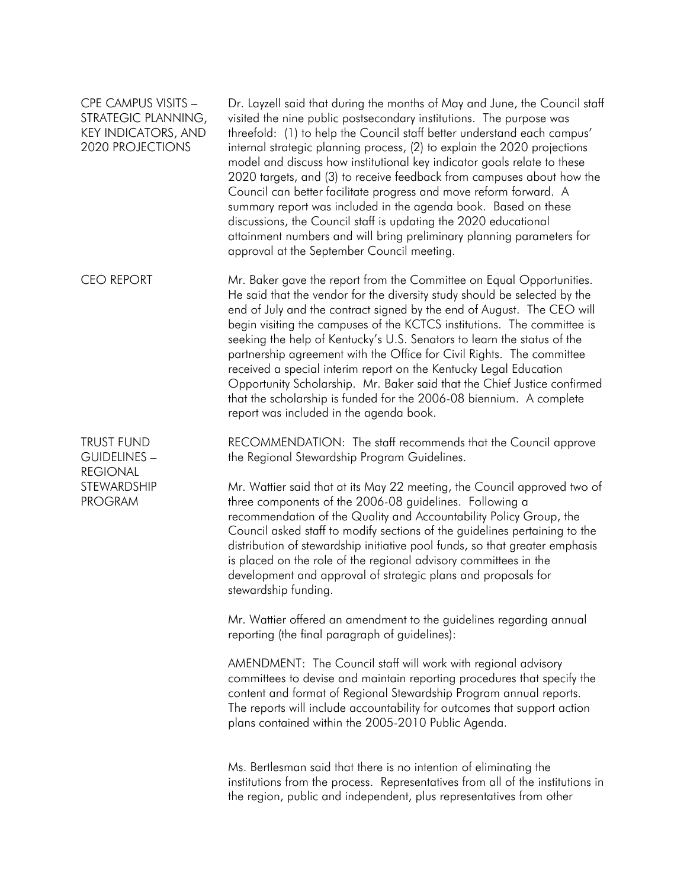## CPE CAMPUS VISITS – STRATEGIC PLANNING, KEY INDICATORS, AND 2020 PROJECTIONS

Dr. Layzell said that during the months of May and June, the Council staff visited the nine public postsecondary institutions. The purpose was threefold: (1) to help the Council staff better understand each campus' internal strategic planning process, (2) to explain the 2020 projections model and discuss how institutional key indicator goals relate to these 2020 targets, and (3) to receive feedback from campuses about how the Council can better facilitate progress and move reform forward. A summary report was included in the agenda book. Based on these discussions, the Council staff is updating the 2020 educational attainment numbers and will bring preliminary planning parameters for approval at the September Council meeting.

CEO REPORT Mr. Baker gave the report from the Committee on Equal Opportunities. He said that the vendor for the diversity study should be selected by the end of July and the contract signed by the end of August. The CEO will begin visiting the campuses of the KCTCS institutions. The committee is seeking the help of Kentucky's U.S. Senators to learn the status of the partnership agreement with the Office for Civil Rights. The committee received a special interim report on the Kentucky Legal Education Opportunity Scholarship. Mr. Baker said that the Chief Justice confirmed that the scholarship is funded for the 2006-08 biennium. A complete report was included in the agenda book.

TRUST FUND GUIDELINES – REGIONAL **STEWARDSHIP** PROGRAM

RECOMMENDATION: The staff recommends that the Council approve the Regional Stewardship Program Guidelines.

Mr. Wattier said that at its May 22 meeting, the Council approved two of three components of the 2006-08 guidelines. Following a recommendation of the Quality and Accountability Policy Group, the Council asked staff to modify sections of the guidelines pertaining to the distribution of stewardship initiative pool funds, so that greater emphasis is placed on the role of the regional advisory committees in the development and approval of strategic plans and proposals for stewardship funding.

Mr. Wattier offered an amendment to the guidelines regarding annual reporting (the final paragraph of guidelines):

AMENDMENT: The Council staff will work with regional advisory committees to devise and maintain reporting procedures that specify the content and format of Regional Stewardship Program annual reports. The reports will include accountability for outcomes that support action plans contained within the 2005-2010 Public Agenda.

Ms. Bertlesman said that there is no intention of eliminating the institutions from the process. Representatives from all of the institutions in the region, public and independent, plus representatives from other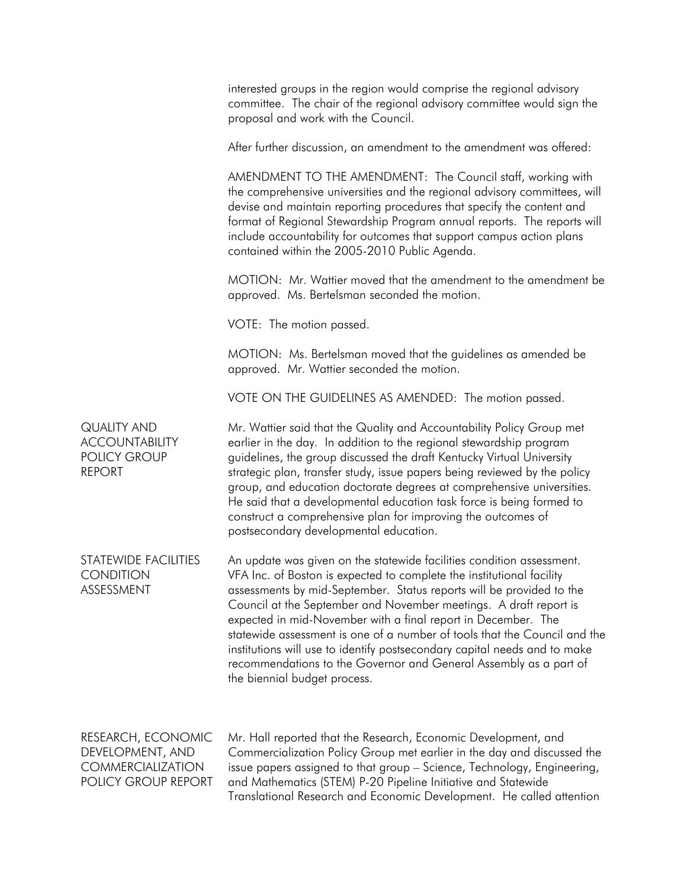|                                                                                           | interested groups in the region would comprise the regional advisory<br>committee. The chair of the regional advisory committee would sign the<br>proposal and work with the Council.                                                                                                                                                                                                                                                                                                                                                                                                                                       |
|-------------------------------------------------------------------------------------------|-----------------------------------------------------------------------------------------------------------------------------------------------------------------------------------------------------------------------------------------------------------------------------------------------------------------------------------------------------------------------------------------------------------------------------------------------------------------------------------------------------------------------------------------------------------------------------------------------------------------------------|
|                                                                                           | After further discussion, an amendment to the amendment was offered:                                                                                                                                                                                                                                                                                                                                                                                                                                                                                                                                                        |
|                                                                                           | AMENDMENT TO THE AMENDMENT: The Council staff, working with<br>the comprehensive universities and the regional advisory committees, will<br>devise and maintain reporting procedures that specify the content and<br>format of Regional Stewardship Program annual reports. The reports will<br>include accountability for outcomes that support campus action plans<br>contained within the 2005-2010 Public Agenda.                                                                                                                                                                                                       |
|                                                                                           | MOTION: Mr. Wattier moved that the amendment to the amendment be<br>approved. Ms. Bertelsman seconded the motion.                                                                                                                                                                                                                                                                                                                                                                                                                                                                                                           |
|                                                                                           | VOTE: The motion passed.                                                                                                                                                                                                                                                                                                                                                                                                                                                                                                                                                                                                    |
|                                                                                           | MOTION: Ms. Bertelsman moved that the guidelines as amended be<br>approved. Mr. Wattier seconded the motion.                                                                                                                                                                                                                                                                                                                                                                                                                                                                                                                |
|                                                                                           | VOTE ON THE GUIDELINES AS AMENDED: The motion passed.                                                                                                                                                                                                                                                                                                                                                                                                                                                                                                                                                                       |
| <b>QUALITY AND</b><br><b>ACCOUNTABILITY</b><br><b>POLICY GROUP</b><br><b>REPORT</b>       | Mr. Wattier said that the Quality and Accountability Policy Group met<br>earlier in the day. In addition to the regional stewardship program<br>guidelines, the group discussed the draft Kentucky Virtual University<br>strategic plan, transfer study, issue papers being reviewed by the policy<br>group, and education doctorate degrees at comprehensive universities.<br>He said that a developmental education task force is being formed to<br>construct a comprehensive plan for improving the outcomes of<br>postsecondary developmental education.                                                               |
| STATEWIDE FACILITIES<br><b>CONDITION</b><br>ASSESSMENT                                    | An update was given on the statewide facilities condition assessment.<br>VFA Inc. of Boston is expected to complete the institutional facility<br>assessments by mid-September. Status reports will be provided to the<br>Council at the September and November meetings. A draft report is<br>expected in mid-November with a final report in December. The<br>statewide assessment is one of a number of tools that the Council and the<br>institutions will use to identify postsecondary capital needs and to make<br>recommendations to the Governor and General Assembly as a part of<br>the biennial budget process. |
| RESEARCH, ECONOMIC<br>DEVELOPMENT, AND<br><b>COMMERCIALIZATION</b><br>POLICY GROUP REPORT | Mr. Hall reported that the Research, Economic Development, and<br>Commercialization Policy Group met earlier in the day and discussed the<br>issue papers assigned to that group - Science, Technology, Engineering,<br>and Mathematics (STEM) P-20 Pipeline Initiative and Statewide<br>Translational Research and Economic Development. He called attention                                                                                                                                                                                                                                                               |